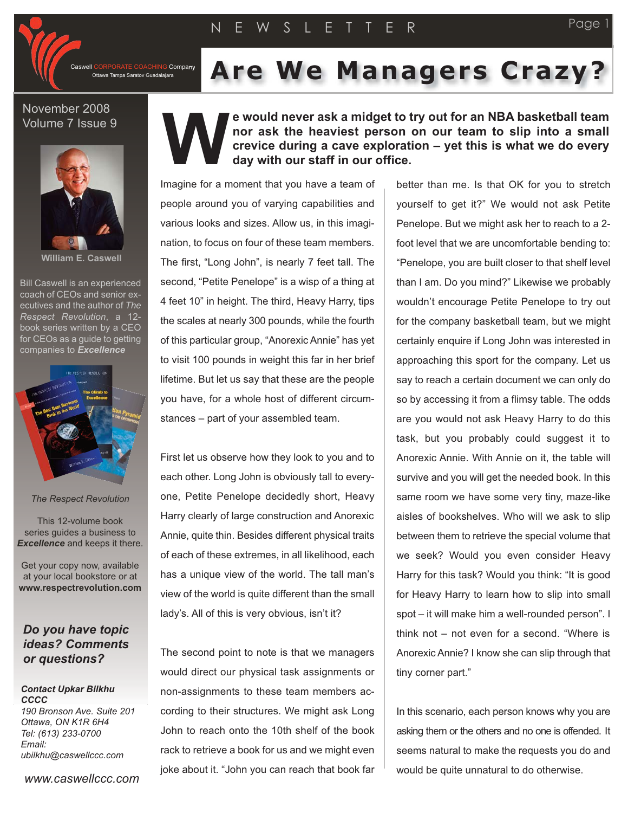**G** Company Ottawa Tampa Saratov Guadalajara

# **Are We Managers Crazy?**

### November 2008 Volume 7 Issue 9



**William E. Caswell**

Bill Caswell is an experienced coach of CEOs and senior executives and the author of *The Respect Revolution*, a 12 book series written by a CEO for CEOs as a guide to getting companies to *Excellence*



#### *The Respect Revolution*

This 12-volume book series guides a business to *Excellence* and keeps it there.

Get your copy now, available at your local bookstore or at **www.respectrevolution.com**

## *Do you have topic ideas? Comments or questions?*

#### *Contact Upkar Bilkhu CCCC 190 Bronson Ave. Suite 201 Ottawa, ON K1R 6H4 Tel: (613) 233-0700*

*Email: ubilkhu@caswellccc.com*

*www.caswellccc.com*

## **e would never ask a midget to try out for an NBA basketball team nor ask the heaviest person on our team to slip into a small crevice during a cave exploration – yet this is what we do every day with our staff in our office. W**

Imagine for a moment that you have a team of people around you of varying capabilities and various looks and sizes. Allow us, in this imagination, to focus on four of these team members. The first, "Long John", is nearly 7 feet tall. The second, "Petite Penelope" is a wisp of a thing at 4 feet 10" in height. The third, Heavy Harry, tips the scales at nearly 300 pounds, while the fourth of this particular group, "Anorexic Annie" has yet to visit 100 pounds in weight this far in her brief lifetime. But let us say that these are the people you have, for a whole host of different circumstances – part of your assembled team.

First let us observe how they look to you and to each other. Long John is obviously tall to everyone, Petite Penelope decidedly short, Heavy Harry clearly of large construction and Anorexic Annie, quite thin. Besides different physical traits of each of these extremes, in all likelihood, each has a unique view of the world. The tall man's view of the world is quite different than the small lady's. All of this is very obvious, isn't it?

The second point to note is that we managers would direct our physical task assignments or non-assignments to these team members according to their structures. We might ask Long John to reach onto the 10th shelf of the book rack to retrieve a book for us and we might even joke about it. "John you can reach that book far

better than me. Is that OK for you to stretch yourself to get it?" We would not ask Petite Penelope. But we might ask her to reach to a 2 foot level that we are uncomfortable bending to: "Penelope, you are built closer to that shelf level than I am. Do you mind?" Likewise we probably wouldn't encourage Petite Penelope to try out for the company basketball team, but we might certainly enquire if Long John was interested in approaching this sport for the company. Let us say to reach a certain document we can only do so by accessing it from a flimsy table. The odds are you would not ask Heavy Harry to do this task, but you probably could suggest it to Anorexic Annie. With Annie on it, the table will survive and you will get the needed book. In this same room we have some very tiny, maze-like aisles of bookshelves. Who will we ask to slip between them to retrieve the special volume that we seek? Would you even consider Heavy Harry for this task? Would you think: "It is good for Heavy Harry to learn how to slip into small spot – it will make him a well-rounded person". I think not – not even for a second. "Where is Anorexic Annie? I know she can slip through that tiny corner part."

In this scenario, each person knows why you are asking them or the others and no one is offended. It seems natural to make the requests you do and would be quite unnatural to do otherwise.